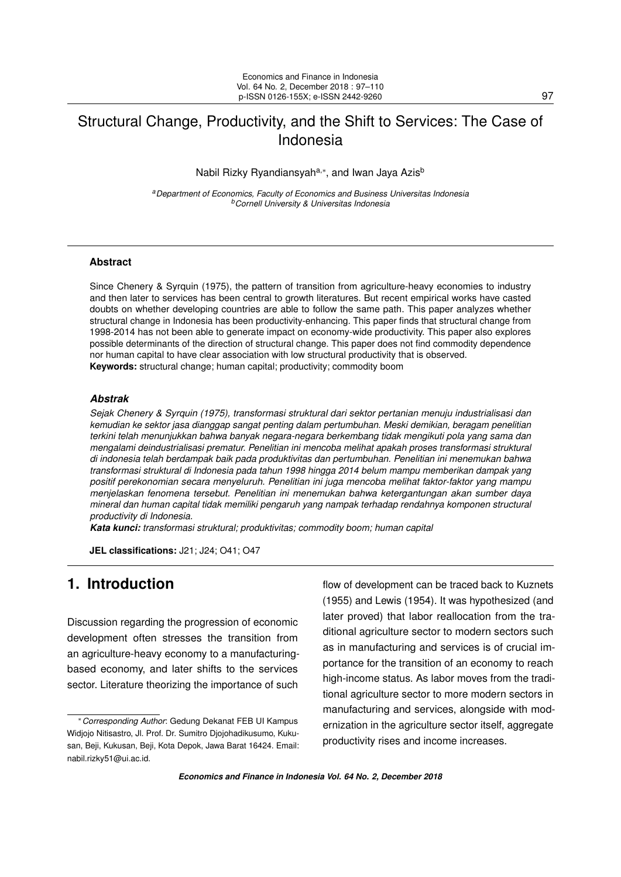# <span id="page-0-0"></span>Structural Change, Productivity, and the Shift to Services: The Case of Indonesia

Nabil Rizky Ryandiansyah<sup>a,</sup>\*, and Iwan Jaya Azis<sup>b</sup>

*<sup>a</sup>Department of Economics, Faculty of Economics and Business Universitas Indonesia <sup>b</sup>Cornell University & Universitas Indonesia*

### **Abstract**

Since Chenery & Syrquin (1975), the pattern of transition from agriculture-heavy economies to industry and then later to services has been central to growth literatures. But recent empirical works have casted doubts on whether developing countries are able to follow the same path. This paper analyzes whether structural change in Indonesia has been productivity-enhancing. This paper finds that structural change from 1998-2014 has not been able to generate impact on economy-wide productivity. This paper also explores possible determinants of the direction of structural change. This paper does not find commodity dependence nor human capital to have clear association with low structural productivity that is observed. **Keywords:** structural change; human capital; productivity; commodity boom

### *Abstrak*

*Sejak Chenery & Syrquin (1975), transformasi struktural dari sektor pertanian menuju industrialisasi dan kemudian ke sektor jasa dianggap sangat penting dalam pertumbuhan. Meski demikian, beragam penelitian terkini telah menunjukkan bahwa banyak negara-negara berkembang tidak mengikuti pola yang sama dan mengalami deindustrialisasi prematur. Penelitian ini mencoba melihat apakah proses transformasi struktural di indonesia telah berdampak baik pada produktivitas dan pertumbuhan. Penelitian ini menemukan bahwa transformasi struktural di Indonesia pada tahun 1998 hingga 2014 belum mampu memberikan dampak yang positif perekonomian secara menyeluruh. Penelitian ini juga mencoba melihat faktor-faktor yang mampu menjelaskan fenomena tersebut. Penelitian ini menemukan bahwa ketergantungan akan sumber daya mineral dan human capital tidak memiliki pengaruh yang nampak terhadap rendahnya komponen structural productivity di Indonesia.*

*Kata kunci: transformasi struktural; produktivitas; commodity boom; human capital*

**JEL classifications:** J21; J24; O41; O47

## **1. Introduction**

Discussion regarding the progression of economic development often stresses the transition from an agriculture-heavy economy to a manufacturingbased economy, and later shifts to the services sector. Literature theorizing the importance of such

flow of development can be traced back to Kuznets (1955) and Lewis (1954). It was hypothesized (and later proved) that labor reallocation from the traditional agriculture sector to modern sectors such as in manufacturing and services is of crucial importance for the transition of an economy to reach high-income status. As labor moves from the traditional agriculture sector to more modern sectors in manufacturing and services, alongside with modernization in the agriculture sector itself, aggregate productivity rises and income increases.

<sup>∗</sup>*Corresponding Author*: Gedung Dekanat FEB UI Kampus Widjojo Nitisastro, Jl. Prof. Dr. Sumitro Djojohadikusumo, Kukusan, Beji, Kukusan, Beji, Kota Depok, Jawa Barat 16424. Email: [nabil.rizky51@ui.ac.id.](nabil.rizky51@ui.ac.id)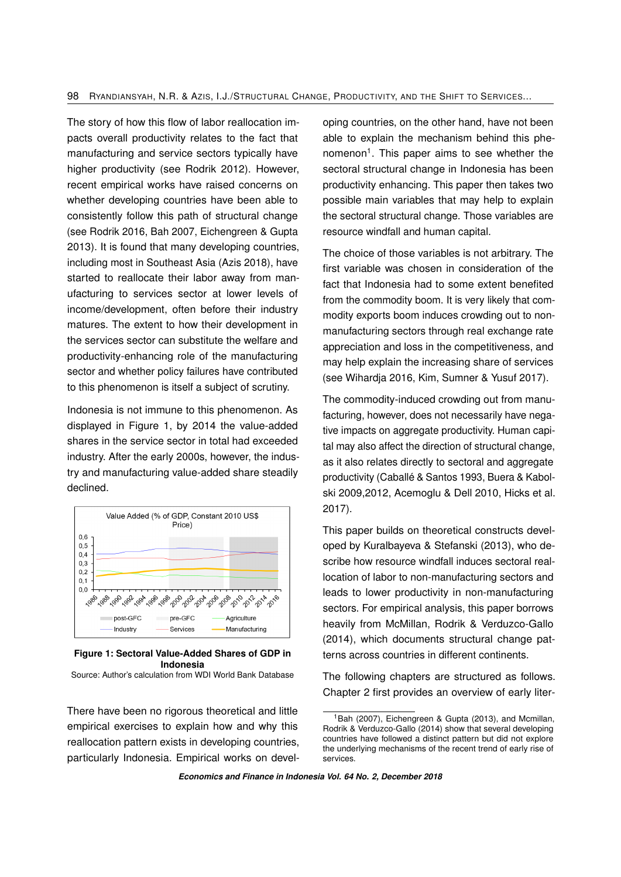The story of how this flow of labor reallocation impacts overall productivity relates to the fact that manufacturing and service sectors typically have higher productivity (see Rodrik 2012). However, recent empirical works have raised concerns on whether developing countries have been able to consistently follow this path of structural change (see Rodrik 2016, Bah 2007, Eichengreen & Gupta 2013). It is found that many developing countries, including most in Southeast Asia (Azis 2018), have started to reallocate their labor away from manufacturing to services sector at lower levels of income/development, often before their industry matures. The extent to how their development in the services sector can substitute the welfare and productivity-enhancing role of the manufacturing sector and whether policy failures have contributed to this phenomenon is itself a subject of scrutiny.

Indonesia is not immune to this phenomenon. As displayed in Figure 1, by 2014 the value-added shares in the service sector in total had exceeded industry. After the early 2000s, however, the industry and manufacturing value-added share steadily declined.



#### **Figure 1: Sectoral Value-Added Shares of GDP in Indonesia**

Source: Author's calculation from WDI World Bank Database

There have been no rigorous theoretical and little empirical exercises to explain how and why this reallocation pattern exists in developing countries, particularly Indonesia. Empirical works on developing countries, on the other hand, have not been able to explain the mechanism behind this phe-nomenon<sup>[1](#page-0-0)</sup>. This paper aims to see whether the sectoral structural change in Indonesia has been productivity enhancing. This paper then takes two possible main variables that may help to explain the sectoral structural change. Those variables are resource windfall and human capital.

The choice of those variables is not arbitrary. The first variable was chosen in consideration of the fact that Indonesia had to some extent benefited from the commodity boom. It is very likely that commodity exports boom induces crowding out to nonmanufacturing sectors through real exchange rate appreciation and loss in the competitiveness, and may help explain the increasing share of services (see Wihardja 2016, Kim, Sumner & Yusuf 2017).

The commodity-induced crowding out from manufacturing, however, does not necessarily have negative impacts on aggregate productivity. Human capital may also affect the direction of structural change, as it also relates directly to sectoral and aggregate productivity (Caballé & Santos 1993, Buera & Kabolski 2009,2012, Acemoglu & Dell 2010, Hicks et al. 2017).

This paper builds on theoretical constructs developed by Kuralbayeva & Stefanski (2013), who describe how resource windfall induces sectoral reallocation of labor to non-manufacturing sectors and leads to lower productivity in non-manufacturing sectors. For empirical analysis, this paper borrows heavily from McMillan, Rodrik & Verduzco-Gallo (2014), which documents structural change patterns across countries in different continents.

The following chapters are structured as follows. Chapter 2 first provides an overview of early liter-

<sup>&</sup>lt;sup>1</sup>Bah (2007), Eichengreen & Gupta (2013), and Mcmillan, Rodrik & Verduzco-Gallo (2014) show that several developing countries have followed a distinct pattern but did not explore the underlying mechanisms of the recent trend of early rise of services.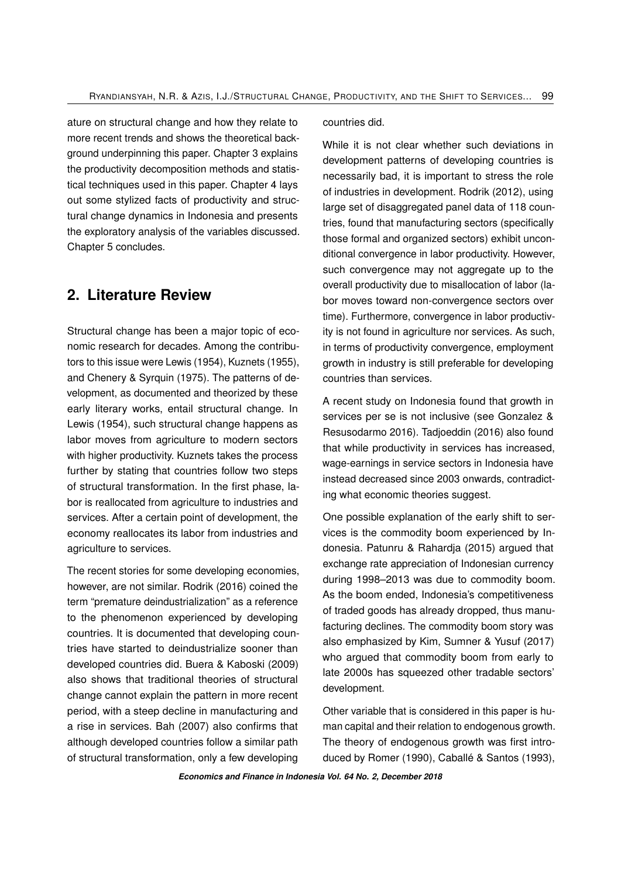ature on structural change and how they relate to more recent trends and shows the theoretical background underpinning this paper. Chapter 3 explains the productivity decomposition methods and statistical techniques used in this paper. Chapter 4 lays out some stylized facts of productivity and structural change dynamics in Indonesia and presents the exploratory analysis of the variables discussed. Chapter 5 concludes.

## **2. Literature Review**

Structural change has been a major topic of economic research for decades. Among the contributors to this issue were Lewis (1954), Kuznets (1955), and Chenery & Syrquin (1975). The patterns of development, as documented and theorized by these early literary works, entail structural change. In Lewis (1954), such structural change happens as labor moves from agriculture to modern sectors with higher productivity. Kuznets takes the process further by stating that countries follow two steps of structural transformation. In the first phase, labor is reallocated from agriculture to industries and services. After a certain point of development, the economy reallocates its labor from industries and agriculture to services.

The recent stories for some developing economies, however, are not similar. Rodrik (2016) coined the term "premature deindustrialization" as a reference to the phenomenon experienced by developing countries. It is documented that developing countries have started to deindustrialize sooner than developed countries did. Buera & Kaboski (2009) also shows that traditional theories of structural change cannot explain the pattern in more recent period, with a steep decline in manufacturing and a rise in services. Bah (2007) also confirms that although developed countries follow a similar path of structural transformation, only a few developing

countries did.

While it is not clear whether such deviations in development patterns of developing countries is necessarily bad, it is important to stress the role of industries in development. Rodrik (2012), using large set of disaggregated panel data of 118 countries, found that manufacturing sectors (specifically those formal and organized sectors) exhibit unconditional convergence in labor productivity. However, such convergence may not aggregate up to the overall productivity due to misallocation of labor (labor moves toward non-convergence sectors over time). Furthermore, convergence in labor productivity is not found in agriculture nor services. As such, in terms of productivity convergence, employment growth in industry is still preferable for developing countries than services.

A recent study on Indonesia found that growth in services per se is not inclusive (see Gonzalez & Resusodarmo 2016). Tadjoeddin (2016) also found that while productivity in services has increased, wage-earnings in service sectors in Indonesia have instead decreased since 2003 onwards, contradicting what economic theories suggest.

One possible explanation of the early shift to services is the commodity boom experienced by Indonesia. Patunru & Rahardja (2015) argued that exchange rate appreciation of Indonesian currency during 1998–2013 was due to commodity boom. As the boom ended, Indonesia's competitiveness of traded goods has already dropped, thus manufacturing declines. The commodity boom story was also emphasized by Kim, Sumner & Yusuf (2017) who argued that commodity boom from early to late 2000s has squeezed other tradable sectors' development.

Other variable that is considered in this paper is human capital and their relation to endogenous growth. The theory of endogenous growth was first introduced by Romer (1990), Caballé & Santos (1993),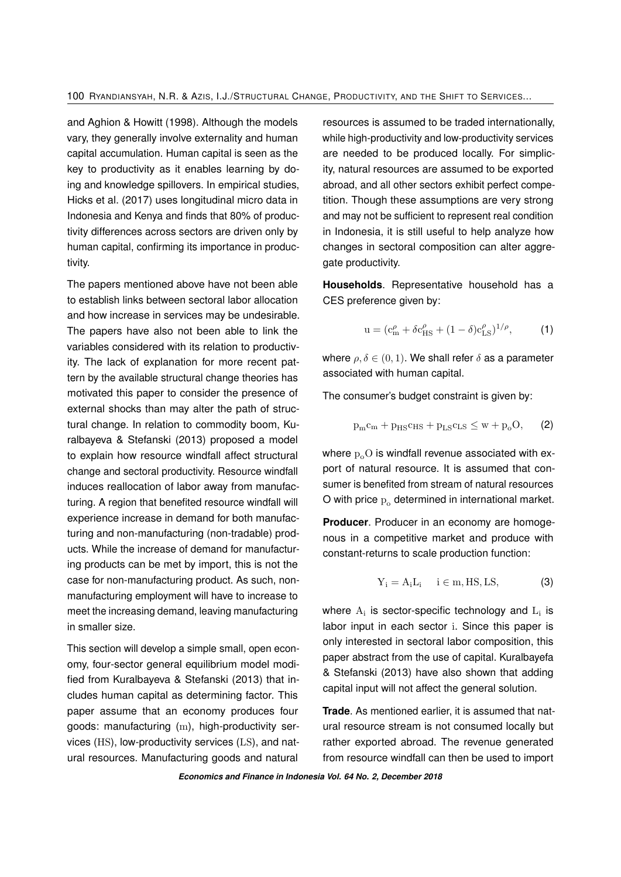and Aghion & Howitt (1998). Although the models vary, they generally involve externality and human capital accumulation. Human capital is seen as the key to productivity as it enables learning by doing and knowledge spillovers. In empirical studies, Hicks et al. (2017) uses longitudinal micro data in Indonesia and Kenya and finds that 80% of productivity differences across sectors are driven only by human capital, confirming its importance in productivity.

The papers mentioned above have not been able to establish links between sectoral labor allocation and how increase in services may be undesirable. The papers have also not been able to link the variables considered with its relation to productivity. The lack of explanation for more recent pattern by the available structural change theories has motivated this paper to consider the presence of external shocks than may alter the path of structural change. In relation to commodity boom, Kuralbayeva & Stefanski (2013) proposed a model to explain how resource windfall affect structural change and sectoral productivity. Resource windfall induces reallocation of labor away from manufacturing. A region that benefited resource windfall will experience increase in demand for both manufacturing and non-manufacturing (non-tradable) products. While the increase of demand for manufacturing products can be met by import, this is not the case for non-manufacturing product. As such, nonmanufacturing employment will have to increase to meet the increasing demand, leaving manufacturing in smaller size.

This section will develop a simple small, open economy, four-sector general equilibrium model modified from Kuralbayeva & Stefanski (2013) that includes human capital as determining factor. This paper assume that an economy produces four goods: manufacturing (m), high-productivity services (HS), low-productivity services (LS), and natural resources. Manufacturing goods and natural

resources is assumed to be traded internationally, while high-productivity and low-productivity services are needed to be produced locally. For simplicity, natural resources are assumed to be exported abroad, and all other sectors exhibit perfect competition. Though these assumptions are very strong and may not be sufficient to represent real condition in Indonesia, it is still useful to help analyze how changes in sectoral composition can alter aggregate productivity.

**Households**. Representative household has a CES preference given by:

$$
u = (c_m^{\rho} + \delta c_{HS}^{\rho} + (1 - \delta)c_{LS}^{\rho})^{1/\rho},
$$
 (1)

where  $\rho, \delta \in (0, 1)$ . We shall refer  $\delta$  as a parameter associated with human capital.

The consumer's budget constraint is given by:

$$
p_{m}c_{m} + p_{HS}c_{HS} + p_{LS}c_{LS} \leq w + p_{o}O, \qquad (2)
$$

where  $p_0O$  is windfall revenue associated with export of natural resource. It is assumed that consumer is benefited from stream of natural resources O with price  $p_0$  determined in international market.

**Producer**. Producer in an economy are homogenous in a competitive market and produce with constant-returns to scale production function:

$$
Y_i = A_i L_i \quad i \in m, HS, LS,
$$
 (3)

where  $A_i$  is sector-specific technology and  $L_i$  is labor input in each sector i. Since this paper is only interested in sectoral labor composition, this paper abstract from the use of capital. Kuralbayefa & Stefanski (2013) have also shown that adding capital input will not affect the general solution.

**Trade**. As mentioned earlier, it is assumed that natural resource stream is not consumed locally but rather exported abroad. The revenue generated from resource windfall can then be used to import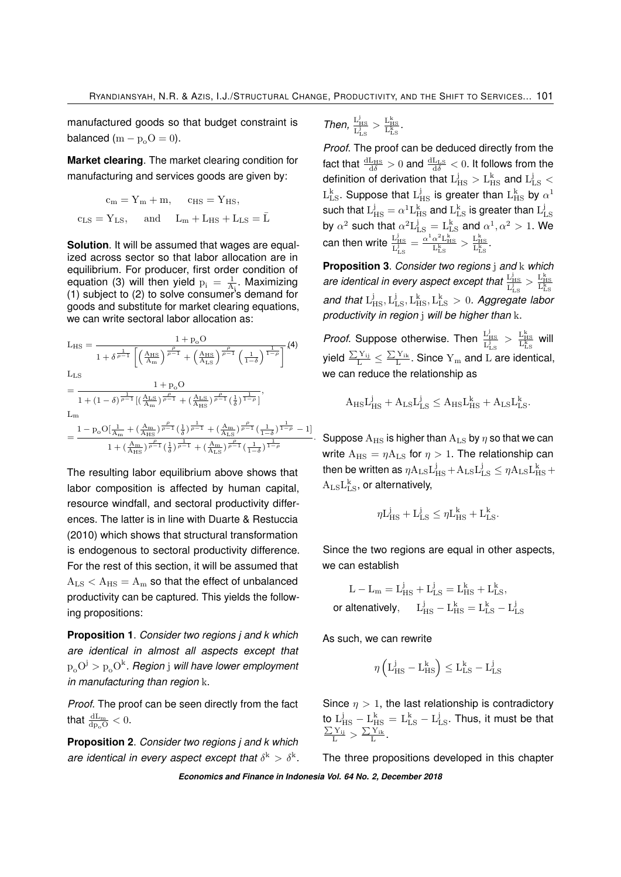manufactured goods so that budget constraint is balanced  $(m - p_0O = 0)$ .

**Market clearing**. The market clearing condition for manufacturing and services goods are given by:

$$
\begin{aligned} \mathrm{c}_m &= \mathrm{Y}_m + m, \quad \ \mathrm{c}_{\mathrm{HS}} = \mathrm{Y}_{\mathrm{HS}}, \\ \mathrm{c}_{\mathrm{LS}} &= \mathrm{Y}_{\mathrm{LS}}, \quad \ \ \mathrm{and} \quad \ \mathrm{L}_m + \mathrm{L}_{\mathrm{HS}} + \mathrm{L}_{\mathrm{LS}} = \bar{\mathrm{L}} \end{aligned}
$$

**Solution**. It will be assumed that wages are equalized across sector so that labor allocation are in equilibrium. For producer, first order condition of equation (3) will then yield  $p_i = \frac{1}{A_i}$ . Maximizing (1) subject to (2) to solve consumer's demand for goods and substitute for market clearing equations, we can write sectoral labor allocation as:

 $L_{\rm HS} = \frac{1 + p_o O}{1 + p_o O}$  (4)  $\frac{1}{1+\delta^{\frac{1}{\rho-1}}}\left[\left(\frac{A_{HS}}{A_{m}}\right)^{\frac{\rho}{\rho-1}}+\left(\frac{A_{HS}}{A_{LS}}\right)^{\frac{\rho}{\rho-1}}\left(\frac{1}{1-\delta}\right)^{\frac{1}{1-\rho}}\right]$ 

$$
\begin{aligned} &L_{\rm LS} \quad &\quad 1 + p_{\rm o} O \\& = \frac{1}{1 + (1-\delta)^{\frac{1}{\rho-1}}\big[(\frac{A_{\rm LS}}{A_{\rm m}})^{\frac{\rho}{\rho-1}} + (\frac{A_{\rm LS}}{A_{\rm HS}})^{\frac{\rho}{\rho-1}}(\frac{1}{\delta})^{\frac{1}{1-\rho}}\big]}, \\ &\quad L_{\rm m} \quad &\quad \\& = \frac{1 - p_{\rm o} O[\frac{1}{A_{\rm m}} + (\frac{A_{\rm m}}{A_{\rm HS}})^{\frac{\rho}{\rho-1}}(\frac{1}{\delta})^{\frac{1}{\rho-1}} + (\frac{A_{\rm m}}{A_{\rm LS}})^{\frac{\rho}{\rho-1}}(\frac{1}{1-\delta})^{\frac{1}{1-\rho}} - 1\big]}{1 + (\frac{A_{\rm m}}{A_{\rm HS}})^{\frac{\rho}{\rho-1}}(\frac{1}{\delta})^{\frac{1}{\rho-1}} + (\frac{A_{\rm m}}{A_{\rm LS}})^{\frac{\rho}{\rho-1}}(\frac{1}{1-\delta})^{\frac{1}{1-\rho}}} \end{aligned}
$$

The resulting labor equilibrium above shows that labor composition is affected by human capital, resource windfall, and sectoral productivity differences. The latter is in line with Duarte & Restuccia (2010) which shows that structural transformation is endogenous to sectoral productivity difference. For the rest of this section, it will be assumed that  $A_{LS} < A_{HS} = A_m$  so that the effect of unbalanced productivity can be captured. This yields the following propositions:

**Proposition 1**. *Consider two regions j and k which are identical in almost all aspects except that*  $\rm p_{o}O^{j} > p_{o}O^{k}.$  Region  $\rm j$  will have lower employment *in manufacturing than region* k.

*Proof*. The proof can be seen directly from the fact that  $\frac{dL_m}{dp_oO} < 0$ .

**Proposition 2**. *Consider two regions j and k which are identical in every aspect except that*  $\delta^k > \delta^k$ .

Then, 
$$
\frac{L_{\rm HS}^j}{L_{\rm LS}^j} > \frac{L_{\rm HS}^k}{L_{\rm LS}^k}
$$
.

*Proof*. The proof can be deduced directly from the fact that  $\frac{dL_{HS}}{d\delta} > 0$  and  $\frac{dL_{LS}}{d\delta} < 0$ . It follows from the definition of derivation that  $\rm L_{HS}^j > L_{HS}^k$  and  $\rm L_{LS}^j <$  $\text{L}_{\text{LS}}^{\text{k}}$ . Suppose that  $\text{L}_{\text{HS}}^{\text{j}}$  is greater than  $\text{L}_{\text{HS}}^{\text{k}}$  by  $\alpha^1$ such that  $L_{HS}^j = \alpha^1 L_{HS}^k$  and  $L_{LS}^k$  is greater than  $L_{LS}^j$ by  $\alpha^2$  such that  $\alpha^2 L_{LS}^j = L_{LS}^k$  and  $\alpha^1, \alpha^2 > 1$ . We can then write  $\frac{L_{HS}^j}{L_{LS}^j} = \frac{\alpha^1 \alpha^2 L_{HS}^k}{L_{LS}^k} > \frac{L_{HS}^k}{L_{LS}^k}$ .

**Proposition 3**. *Consider two regions* j *and* k *which* are identical in every aspect except that  $\frac{L_{HS}^i}{L_{LS}^j} > \frac{L_{HS}^k}{L_{LS}^k}$ <br>and that  $L_{HS}^j, L_{LS}^j, L_{HS}^k, L_{LS}^k > 0$ . Aggregate labor *productivity in region* j *will be higher than* k.

*Proof*. Suppose otherwise. Then  $\frac{L_{HS}^1}{L_{LS}^1} > \frac{L_{HS}^k}{L_{LS}^k}$  will yield  $\frac{\sum Y_{ij}}{L} \leq \frac{\sum Y_{ik}}{L}$ . Since  $Y_m$  and  $L$  are identical, we can reduce the relationship as

$$
A_{\rm HS}L_{\rm HS}^j + A_{\rm LS}L_{\rm LS}^j \leq A_{\rm HS}L_{\rm HS}^k + A_{\rm LS}L_{\rm LS}^k.
$$

 $\,\cdot\,$  Suppose  $\rm A_{HS}$  is higher than  $\rm A_{LS}$  by  $\eta$  so that we can write  $A_{HS} = \eta A_{LS}$  for  $\eta > 1$ . The relationship can then be written as  $\eta \mathrm{A_{LS} L_{HS}^j} + \mathrm{A_{LS} L_{LS}^j} \leq \eta \mathrm{A_{LS} L_{HS}^k} +$  $A_{LS}L_{LS}^k$ , or alternatively,

$$
\eta L_{\rm HS}^j + L_{\rm LS}^j \leq \eta L_{\rm HS}^k + L_{\rm LS}^k.
$$

Since the two regions are equal in other aspects, we can establish

$$
L - L_m = L_{HS}^j + L_{LS}^j = L_{HS}^k + L_{LS}^k,
$$
  
or alternatively, 
$$
L_{HS}^j - L_{HS}^k = L_{LS}^k - L_{LS}^j
$$

As such, we can rewrite

$$
\eta\left(\mathrm{L_{HS}^{j}}-\mathrm{L_{HS}^{k}}\right)\leq\mathrm{L_{LS}^{k}}-\mathrm{L_{LS}^{j}}
$$

Since  $n > 1$ , the last relationship is contradictory to  $L_{\rm HS}^j - L_{\rm HS}^k = L_{\rm LS}^k - L_{\rm LS}^j$ . Thus, it must be that  $\frac{\sum Y_{ij}}{L} > \frac{\sum Y_{ik}}{L}$ .

The three propositions developed in this chapter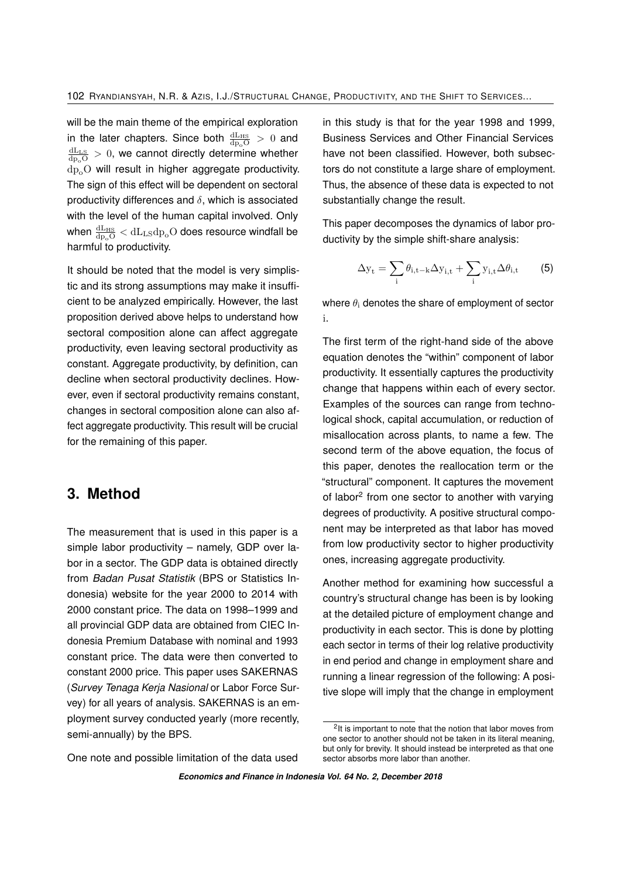will be the main theme of the empirical exploration in the later chapters. Since both  $\frac{dL_{HS}}{dp_oO} > 0$  and  $\frac{dL_{LS}}{dp_{o}O} > 0$ , we cannot directly determine whether dp<sub>o</sub>O will result in higher aggregate productivity. The sign of this effect will be dependent on sectoral productivity differences and  $\delta$ , which is associated with the level of the human capital involved. Only when  $\frac{\text{dL}_{\text{HS}}}{\text{d}_{\text{p}_{\text{o}}\text{O}}} < \text{dL}_{\text{LS}}\text{d}_{\text{p}_{\text{o}}} \text{O}$  does resource windfall be harmful to productivity.

It should be noted that the model is very simplistic and its strong assumptions may make it insufficient to be analyzed empirically. However, the last proposition derived above helps to understand how sectoral composition alone can affect aggregate productivity, even leaving sectoral productivity as constant. Aggregate productivity, by definition, can decline when sectoral productivity declines. However, even if sectoral productivity remains constant, changes in sectoral composition alone can also affect aggregate productivity. This result will be crucial for the remaining of this paper.

## **3. Method**

The measurement that is used in this paper is a simple labor productivity – namely, GDP over labor in a sector. The GDP data is obtained directly from *Badan Pusat Statistik* (BPS or Statistics Indonesia) website for the year 2000 to 2014 with 2000 constant price. The data on 1998–1999 and all provincial GDP data are obtained from CIEC Indonesia Premium Database with nominal and 1993 constant price. The data were then converted to constant 2000 price. This paper uses SAKERNAS (*Survey Tenaga Kerja Nasional* or Labor Force Survey) for all years of analysis. SAKERNAS is an employment survey conducted yearly (more recently, semi-annually) by the BPS.

One note and possible limitation of the data used

in this study is that for the year 1998 and 1999, Business Services and Other Financial Services have not been classified. However, both subsectors do not constitute a large share of employment. Thus, the absence of these data is expected to not substantially change the result.

This paper decomposes the dynamics of labor productivity by the simple shift-share analysis:

$$
\Delta y_{t} = \sum_{i} \theta_{i,t-k} \Delta y_{i,t} + \sum_{i} y_{i,t} \Delta \theta_{i,t}
$$
 (5)

where  $\theta_i$  denotes the share of employment of sector i.

The first term of the right-hand side of the above equation denotes the "within" component of labor productivity. It essentially captures the productivity change that happens within each of every sector. Examples of the sources can range from technological shock, capital accumulation, or reduction of misallocation across plants, to name a few. The second term of the above equation, the focus of this paper, denotes the reallocation term or the "structural" component. It captures the movement of labor<sup>[2](#page-0-0)</sup> from one sector to another with varying degrees of productivity. A positive structural component may be interpreted as that labor has moved from low productivity sector to higher productivity ones, increasing aggregate productivity.

Another method for examining how successful a country's structural change has been is by looking at the detailed picture of employment change and productivity in each sector. This is done by plotting each sector in terms of their log relative productivity in end period and change in employment share and running a linear regression of the following: A positive slope will imply that the change in employment

<sup>&</sup>lt;sup>2</sup>It is important to note that the notion that labor moves from one sector to another should not be taken in its literal meaning, but only for brevity. It should instead be interpreted as that one sector absorbs more labor than another.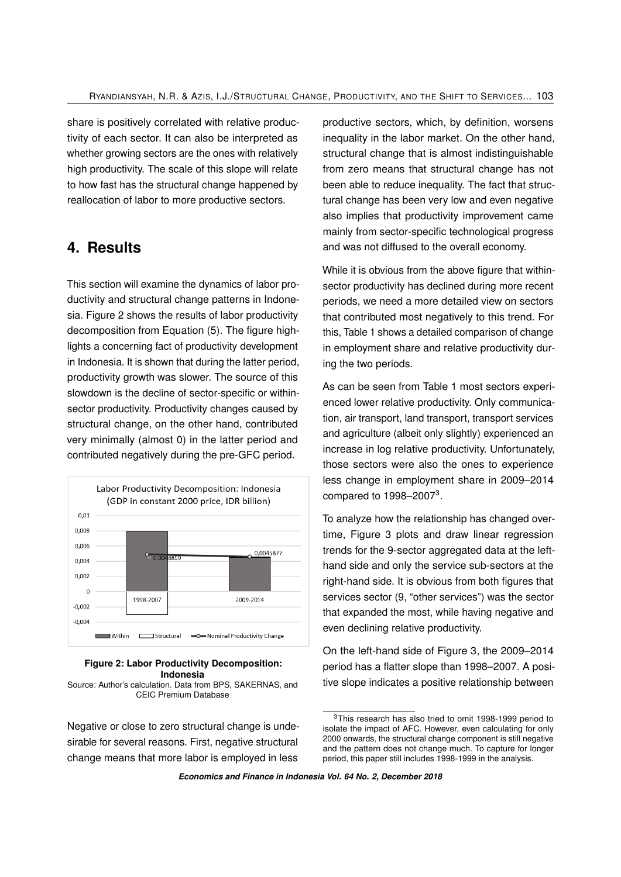share is positively correlated with relative productivity of each sector. It can also be interpreted as whether growing sectors are the ones with relatively high productivity. The scale of this slope will relate to how fast has the structural change happened by reallocation of labor to more productive sectors.

## **4. Results**

This section will examine the dynamics of labor productivity and structural change patterns in Indonesia. Figure 2 shows the results of labor productivity decomposition from Equation (5). The figure highlights a concerning fact of productivity development in Indonesia. It is shown that during the latter period, productivity growth was slower. The source of this slowdown is the decline of sector-specific or withinsector productivity. Productivity changes caused by structural change, on the other hand, contributed very minimally (almost 0) in the latter period and contributed negatively during the pre-GFC period.



### **Figure 2: Labor Productivity Decomposition: Indonesia**

Source: Author's calculation. Data from BPS, SAKERNAS, and CEIC Premium Database

Negative or close to zero structural change is undesirable for several reasons. First, negative structural change means that more labor is employed in less productive sectors, which, by definition, worsens inequality in the labor market. On the other hand, structural change that is almost indistinguishable from zero means that structural change has not been able to reduce inequality. The fact that structural change has been very low and even negative also implies that productivity improvement came mainly from sector-specific technological progress and was not diffused to the overall economy.

While it is obvious from the above figure that withinsector productivity has declined during more recent periods, we need a more detailed view on sectors that contributed most negatively to this trend. For this, Table 1 shows a detailed comparison of change in employment share and relative productivity during the two periods.

As can be seen from Table 1 most sectors experienced lower relative productivity. Only communication, air transport, land transport, transport services and agriculture (albeit only slightly) experienced an increase in log relative productivity. Unfortunately, those sectors were also the ones to experience less change in employment share in 2009–2014 compared to  $1998 - 2007<sup>3</sup>$  $1998 - 2007<sup>3</sup>$  $1998 - 2007<sup>3</sup>$ .

To analyze how the relationship has changed overtime, Figure 3 plots and draw linear regression trends for the 9-sector aggregated data at the lefthand side and only the service sub-sectors at the right-hand side. It is obvious from both figures that services sector (9, "other services") was the sector that expanded the most, while having negative and even declining relative productivity.

On the left-hand side of Figure 3, the 2009–2014 period has a flatter slope than 1998–2007. A positive slope indicates a positive relationship between

<sup>&</sup>lt;sup>3</sup>This research has also tried to omit 1998-1999 period to isolate the impact of AFC. However, even calculating for only 2000 onwards, the structural change component is still negative and the pattern does not change much. To capture for longer period, this paper still includes 1998-1999 in the analysis.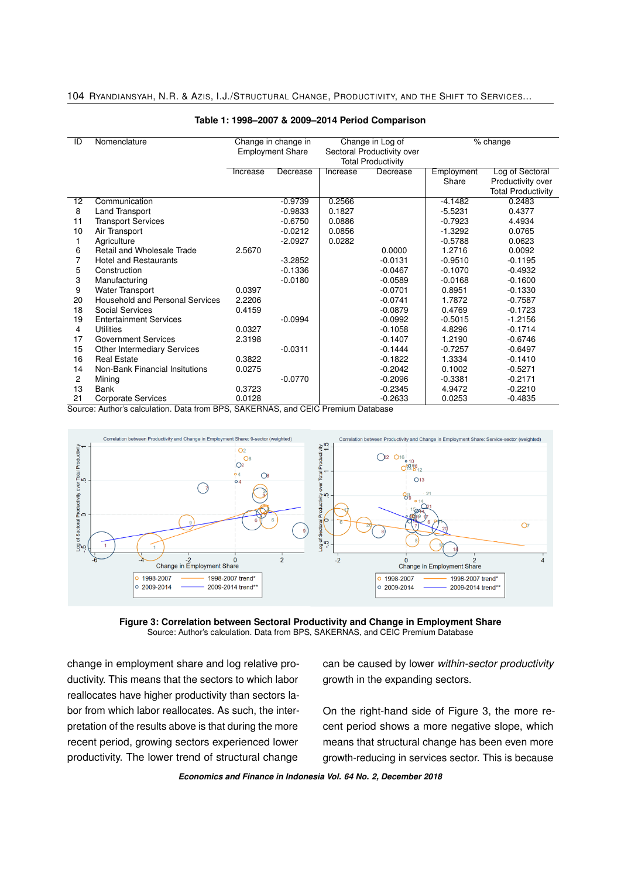104 RYANDIANSYAH, N.R. & AZIS, I.J./STRUCTURAL CHANGE, PRODUCTIVITY, AND THE SHIFT TO SERVICES...

| ID             | Nomenclature                           |                                                |           |          |                                                |                     |                                                |  |
|----------------|----------------------------------------|------------------------------------------------|-----------|----------|------------------------------------------------|---------------------|------------------------------------------------|--|
|                |                                        | Change in change in<br><b>Employment Share</b> |           |          | Change in Log of<br>Sectoral Productivity over |                     | % change                                       |  |
|                |                                        |                                                |           |          | <b>Total Productivity</b>                      |                     |                                                |  |
|                |                                        |                                                |           |          |                                                |                     |                                                |  |
|                |                                        | Increase                                       | Decrease  | Increase | Decrease                                       | Employment<br>Share | Log of Sectoral                                |  |
|                |                                        |                                                |           |          |                                                |                     | Productivity over<br><b>Total Productivity</b> |  |
|                |                                        |                                                |           |          |                                                |                     |                                                |  |
| 12             | Communication                          |                                                | $-0.9739$ | 0.2566   |                                                | $-4.1482$           | 0.2483                                         |  |
| 8              | Land Transport                         |                                                | $-0.9833$ | 0.1827   |                                                | $-5.5231$           | 0.4377                                         |  |
| 11             | <b>Transport Services</b>              |                                                | $-0.6750$ | 0.0886   |                                                | $-0.7923$           | 4.4934                                         |  |
| 10             | Air Transport                          |                                                | $-0.0212$ | 0.0856   |                                                | $-1.3292$           | 0.0765                                         |  |
|                | Agriculture                            |                                                | $-2.0927$ | 0.0282   |                                                | $-0.5788$           | 0.0623                                         |  |
| 6              | Retail and Wholesale Trade             | 2.5670                                         |           |          | 0.0000                                         | 1.2716              | 0.0092                                         |  |
| 7              | <b>Hotel and Restaurants</b>           |                                                | $-3.2852$ |          | $-0.0131$                                      | $-0.9510$           | $-0.1195$                                      |  |
| 5              | Construction                           |                                                | $-0.1336$ |          | $-0.0467$                                      | $-0.1070$           | $-0.4932$                                      |  |
| 3              | Manufacturing                          |                                                | $-0.0180$ |          | $-0.0589$                                      | $-0.0168$           | $-0.1600$                                      |  |
| 9              | Water Transport                        | 0.0397                                         |           |          | $-0.0701$                                      | 0.8951              | $-0.1330$                                      |  |
| 20             | <b>Household and Personal Services</b> | 2.2206                                         |           |          | $-0.0741$                                      | 1.7872              | $-0.7587$                                      |  |
| 18             | Social Services                        | 0.4159                                         |           |          | $-0.0879$                                      | 0.4769              | $-0.1723$                                      |  |
| 19             | <b>Entertainment Services</b>          |                                                | $-0.0994$ |          | $-0.0992$                                      | $-0.5015$           | $-1.2156$                                      |  |
| 4              | Utilities                              | 0.0327                                         |           |          | $-0.1058$                                      | 4.8296              | $-0.1714$                                      |  |
| 17             | <b>Government Services</b>             | 2.3198                                         |           |          | $-0.1407$                                      | 1.2190              | $-0.6746$                                      |  |
| 15             | <b>Other Intermediary Services</b>     |                                                | $-0.0311$ |          | $-0.1444$                                      | $-0.7257$           | $-0.6497$                                      |  |
| 16             | <b>Real Estate</b>                     | 0.3822                                         |           |          | $-0.1822$                                      | 1.3334              | $-0.1410$                                      |  |
| 14             | Non-Bank Financial Insitutions         | 0.0275                                         |           |          | $-0.2042$                                      | 0.1002              | $-0.5271$                                      |  |
| $\overline{c}$ | Mining                                 |                                                | $-0.0770$ |          | $-0.2096$                                      | $-0.3381$           | $-0.2171$                                      |  |
| 13             | <b>Bank</b>                            | 0.3723                                         |           |          | $-0.2345$                                      | 4.9472              | $-0.2210$                                      |  |
| 21             | <b>Corporate Services</b>              | 0.0128                                         |           |          | $-0.2633$                                      | 0.0253              | $-0.4835$                                      |  |

#### **Table 1: 1998–2007 & 2009–2014 Period Comparison**

Source: Author's calculation. Data from BPS, SAKERNAS, and CEIC Premium Database



**Figure 3: Correlation between Sectoral Productivity and Change in Employment Share** Source: Author's calculation. Data from BPS, SAKERNAS, and CEIC Premium Database

change in employment share and log relative productivity. This means that the sectors to which labor reallocates have higher productivity than sectors labor from which labor reallocates. As such, the interpretation of the results above is that during the more recent period, growing sectors experienced lower productivity. The lower trend of structural change can be caused by lower *within-sector productivity* growth in the expanding sectors.

On the right-hand side of Figure 3, the more recent period shows a more negative slope, which means that structural change has been even more growth-reducing in services sector. This is because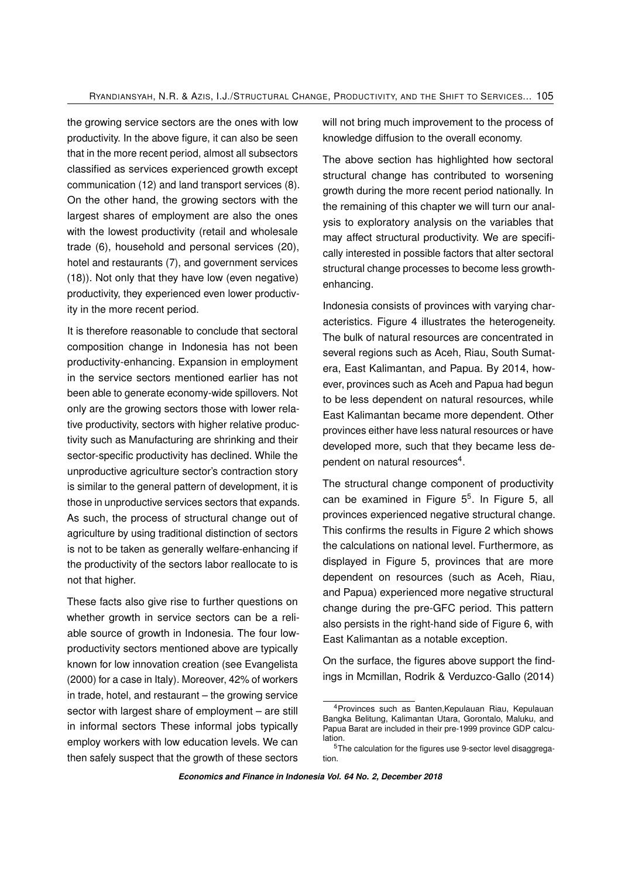the growing service sectors are the ones with low productivity. In the above figure, it can also be seen that in the more recent period, almost all subsectors classified as services experienced growth except communication (12) and land transport services (8). On the other hand, the growing sectors with the largest shares of employment are also the ones with the lowest productivity (retail and wholesale trade (6), household and personal services (20), hotel and restaurants (7), and government services (18)). Not only that they have low (even negative) productivity, they experienced even lower productivity in the more recent period.

It is therefore reasonable to conclude that sectoral composition change in Indonesia has not been productivity-enhancing. Expansion in employment in the service sectors mentioned earlier has not been able to generate economy-wide spillovers. Not only are the growing sectors those with lower relative productivity, sectors with higher relative productivity such as Manufacturing are shrinking and their sector-specific productivity has declined. While the unproductive agriculture sector's contraction story is similar to the general pattern of development, it is those in unproductive services sectors that expands. As such, the process of structural change out of agriculture by using traditional distinction of sectors is not to be taken as generally welfare-enhancing if the productivity of the sectors labor reallocate to is not that higher.

These facts also give rise to further questions on whether growth in service sectors can be a reliable source of growth in Indonesia. The four lowproductivity sectors mentioned above are typically known for low innovation creation (see Evangelista (2000) for a case in Italy). Moreover, 42% of workers in trade, hotel, and restaurant – the growing service sector with largest share of employment – are still in informal sectors These informal jobs typically employ workers with low education levels. We can then safely suspect that the growth of these sectors

will not bring much improvement to the process of knowledge diffusion to the overall economy.

The above section has highlighted how sectoral structural change has contributed to worsening growth during the more recent period nationally. In the remaining of this chapter we will turn our analysis to exploratory analysis on the variables that may affect structural productivity. We are specifically interested in possible factors that alter sectoral structural change processes to become less growthenhancing.

Indonesia consists of provinces with varying characteristics. Figure 4 illustrates the heterogeneity. The bulk of natural resources are concentrated in several regions such as Aceh, Riau, South Sumatera, East Kalimantan, and Papua. By 2014, however, provinces such as Aceh and Papua had begun to be less dependent on natural resources, while East Kalimantan became more dependent. Other provinces either have less natural resources or have developed more, such that they became less de-pendent on natural resources<sup>[4](#page-0-0)</sup>.

The structural change component of productivity can be examined in Figure [5](#page-0-0)<sup>5</sup>. In Figure 5, all provinces experienced negative structural change. This confirms the results in Figure 2 which shows the calculations on national level. Furthermore, as displayed in Figure 5, provinces that are more dependent on resources (such as Aceh, Riau, and Papua) experienced more negative structural change during the pre-GFC period. This pattern also persists in the right-hand side of Figure 6, with East Kalimantan as a notable exception.

On the surface, the figures above support the findings in Mcmillan, Rodrik & Verduzco-Gallo (2014)

<sup>4</sup>Provinces such as Banten,Kepulauan Riau, Kepulauan Bangka Belitung, Kalimantan Utara, Gorontalo, Maluku, and Papua Barat are included in their pre-1999 province GDP calculation.

<sup>5</sup>The calculation for the figures use 9-sector level disaggregation.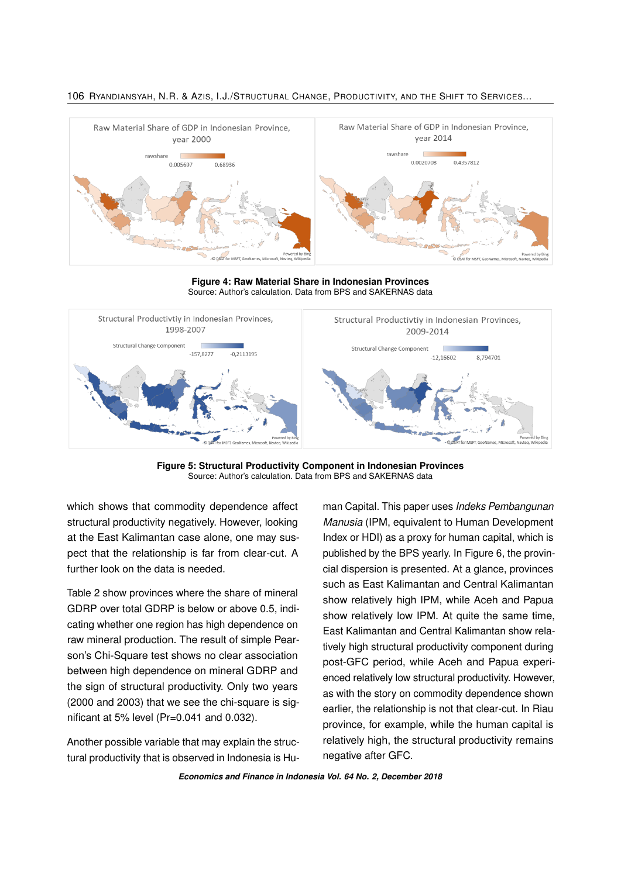

106 RYANDIANSYAH, N.R. & AZIS, I.J./STRUCTURAL CHANGE, PRODUCTIVITY, AND THE SHIFT TO SERVICES...

**Figure 4: Raw Material Share in Indonesian Provinces** Source: Author's calculation. Data from BPS and SAKERNAS data



**Figure 5: Structural Productivity Component in Indonesian Provinces** Source: Author's calculation. Data from BPS and SAKERNAS data

which shows that commodity dependence affect structural productivity negatively. However, looking at the East Kalimantan case alone, one may suspect that the relationship is far from clear-cut. A further look on the data is needed.

Table 2 show provinces where the share of mineral GDRP over total GDRP is below or above 0.5, indicating whether one region has high dependence on raw mineral production. The result of simple Pearson's Chi-Square test shows no clear association between high dependence on mineral GDRP and the sign of structural productivity. Only two years (2000 and 2003) that we see the chi-square is significant at 5% level (Pr=0.041 and 0.032).

Another possible variable that may explain the structural productivity that is observed in Indonesia is Human Capital. This paper uses *Indeks Pembangunan Manusia* (IPM, equivalent to Human Development Index or HDI) as a proxy for human capital, which is published by the BPS yearly. In Figure 6, the provincial dispersion is presented. At a glance, provinces such as East Kalimantan and Central Kalimantan show relatively high IPM, while Aceh and Papua show relatively low IPM. At quite the same time, East Kalimantan and Central Kalimantan show relatively high structural productivity component during post-GFC period, while Aceh and Papua experienced relatively low structural productivity. However, as with the story on commodity dependence shown earlier, the relationship is not that clear-cut. In Riau province, for example, while the human capital is relatively high, the structural productivity remains negative after GFC.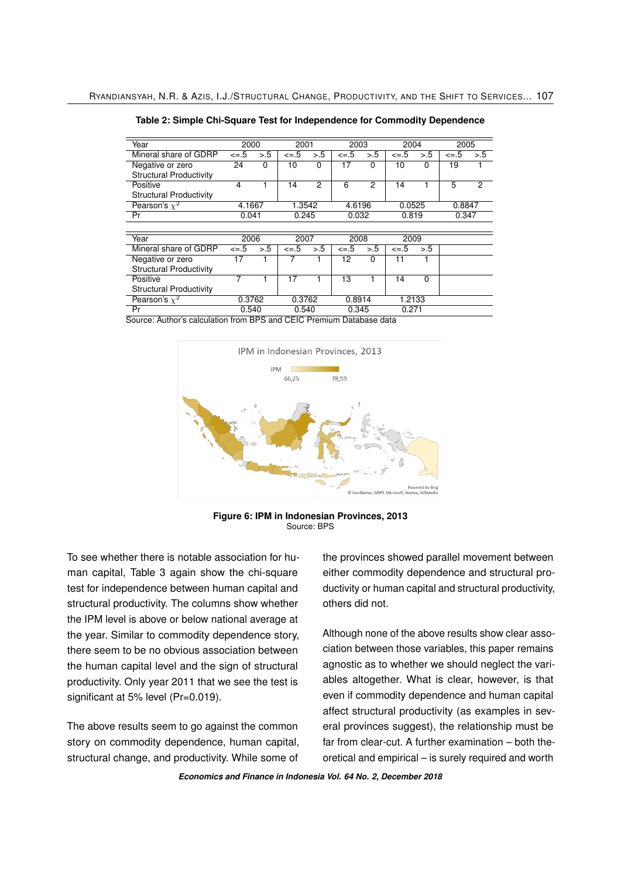| Year                           | 2000     |     | 2001       |     | 2003     |          | 2004     |          |          | 2005           |  |
|--------------------------------|----------|-----|------------|-----|----------|----------|----------|----------|----------|----------------|--|
| Mineral share of GDRP          | $\leq 5$ | > 5 | $\leq -.5$ | > 5 | $\leq 5$ | > 5      | $\leq 5$ | > 5      | $\leq 5$ | > 5            |  |
| Negative or zero               | 24       | 0   | 10         | 0   | 17       | $\Omega$ | 10       | 0        | 19       |                |  |
| <b>Structural Productivity</b> |          |     |            |     |          |          |          |          |          |                |  |
| Positive                       | 4        |     | 14         | 2   | 6        | 2        | 14       |          | 5        | $\overline{c}$ |  |
| <b>Structural Productivity</b> |          |     |            |     |          |          |          |          |          |                |  |
| Pearson's $x^2$                | 4.1667   |     | 1.3542     |     | 4.6196   |          | 0.0525   |          | 0.8847   |                |  |
| Pr                             | 0.041    |     | 0.245      |     | 0.032    |          | 0.819    |          | 0.347    |                |  |
|                                |          |     |            |     |          |          |          |          |          |                |  |
| Year                           | 2006     |     | 2007       |     | 2008     |          | 2009     |          |          |                |  |
| Mineral share of GDRP          | $\leq 5$ | > 5 | $\leq -.5$ | > 5 | $\leq 5$ | > 5      | $\leq 5$ | > 0.5    |          |                |  |
| Negative or zero               | 17       |     |            |     | 12       | $\Omega$ | 11       |          |          |                |  |
| <b>Structural Productivity</b> |          |     |            |     |          |          |          |          |          |                |  |
| Positive                       | 7        |     | 17         |     | 13       |          | 14       | $\Omega$ |          |                |  |
| <b>Structural Productivity</b> |          |     |            |     |          |          |          |          |          |                |  |
| Pearson's $x^2$                | 0.3762   |     | 0.3762     |     | 0.8914   |          | 1.2133   |          |          |                |  |
| Pr                             | 0.540    |     | 0.540      |     | 0.345    |          | 0.271    |          |          |                |  |

**Table 2: Simple Chi-Square Test for Independence for Commodity Dependence**

Source: Author's calculation from BPS and CEIC Premium Database data



**Figure 6: IPM in Indonesian Provinces, 2013** Source: BPS

To see whether there is notable association for human capital, Table 3 again show the chi-square test for independence between human capital and structural productivity. The columns show whether the IPM level is above or below national average at the year. Similar to commodity dependence story, there seem to be no obvious association between the human capital level and the sign of structural productivity. Only year 2011 that we see the test is significant at 5% level (Pr=0.019).

The above results seem to go against the common story on commodity dependence, human capital, structural change, and productivity. While some of the provinces showed parallel movement between either commodity dependence and structural productivity or human capital and structural productivity, others did not.

Although none of the above results show clear association between those variables, this paper remains agnostic as to whether we should neglect the variables altogether. What is clear, however, is that even if commodity dependence and human capital affect structural productivity (as examples in several provinces suggest), the relationship must be far from clear-cut. A further examination – both theoretical and empirical – is surely required and worth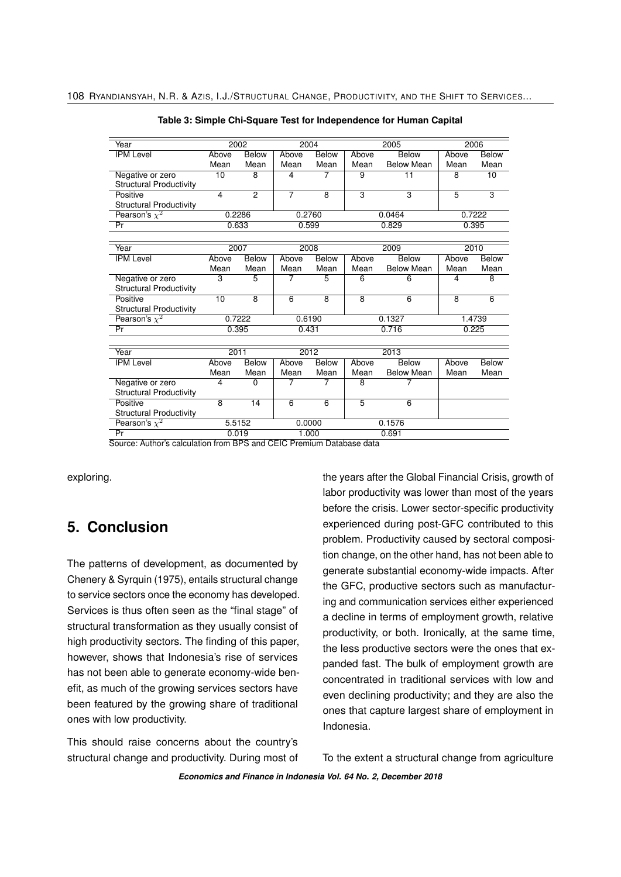| Year                           |                 | 2002<br>2004            |                |                         | 2005           | 2006              |                         |                 |
|--------------------------------|-----------------|-------------------------|----------------|-------------------------|----------------|-------------------|-------------------------|-----------------|
| <b>IPM Level</b>               | Above           | <b>Below</b>            | Above          | <b>Below</b>            | Above          | Below             | Above                   | <b>Below</b>    |
|                                | Mean            | Mean                    | Mean           | Mean                    | Mean           | <b>Below Mean</b> | Mean                    | Mean            |
| Negative or zero               | 10              | $\overline{8}$          | $\overline{4}$ | 7                       | $\overline{9}$ | $\overline{11}$   | $\overline{8}$          | $\overline{10}$ |
| <b>Structural Productivity</b> |                 |                         |                |                         |                |                   |                         |                 |
| Positive                       | $\overline{4}$  | $\overline{2}$          | $\overline{7}$ | $\overline{8}$          | $\overline{3}$ | $\overline{3}$    | $\overline{5}$          | $\overline{3}$  |
| <b>Structural Productivity</b> |                 |                         |                |                         |                |                   |                         |                 |
| Pearson's $\chi^2$             | 0.2286          |                         | 0.2760         |                         |                | 0.0464            | 0.7222                  |                 |
| Pr                             | 0.633           |                         | 0.599          |                         | 0.829          |                   | 0.395                   |                 |
|                                |                 |                         |                |                         |                |                   |                         |                 |
| Year                           | 2007            |                         | 2008           |                         |                | 2009              | 2010                    |                 |
| <b>IPM Level</b>               | Above           | <b>Below</b>            | Above          | Below                   | Above          | Below             | Above                   | Below           |
|                                | Mean            | Mean                    | Mean           | Mean                    | Mean           | <b>Below Mean</b> | Mean                    | Mean            |
| Negative or zero               | 3               | 5                       | 7              | 5                       | 6              | 6                 | 4                       | 8               |
| <b>Structural Productivity</b> |                 |                         |                |                         |                |                   |                         |                 |
| Positive                       | $\overline{10}$ | $\overline{\mathbf{8}}$ | $\overline{6}$ | $\overline{\mathbf{8}}$ | $\overline{8}$ | $\overline{6}$    | $\overline{\mathbf{8}}$ | $\overline{6}$  |
| <b>Structural Productivity</b> |                 |                         |                |                         |                |                   |                         |                 |
| Pearson's $\chi^2$             | 0.7222          |                         | 0.6190         |                         |                | 0.1327            | 1.4739                  |                 |
| Pr                             | 0.395           |                         | 0.431          |                         | 0.716          |                   | 0.225                   |                 |
|                                |                 |                         |                |                         |                |                   |                         |                 |
| Year                           | 2011            |                         | 2012           |                         |                | 2013              |                         |                 |
| <b>IPM</b> Level               | Above           | Below                   | Above          | <b>Below</b>            | Above          | <b>Below</b>      | Above                   | <b>Below</b>    |
|                                | Mean            | Mean                    | Mean           | Mean                    | Mean           | <b>Below Mean</b> | Mean                    | Mean            |
| Negative or zero               | $\overline{4}$  | $\Omega$                | 7              | 7                       | $\overline{8}$ | 7                 |                         |                 |
| <b>Structural Productivity</b> |                 |                         |                |                         |                |                   |                         |                 |
| Positive                       | $\overline{8}$  | 14                      | $\overline{6}$ | 6                       | 5              | $\overline{6}$    |                         |                 |
| <b>Structural Productivity</b> |                 |                         |                |                         |                |                   |                         |                 |
| Pearson's $\chi^2$             | 5.5152          |                         | 0.0000         |                         |                | 0.1576            |                         |                 |
| Pr                             | 0.019           |                         | 1.000          |                         |                | 0.691             |                         |                 |

**Table 3: Simple Chi-Square Test for Independence for Human Capital**

Source: Author's calculation from BPS and CEIC Premium Database data

exploring.

## **5. Conclusion**

The patterns of development, as documented by Chenery & Syrquin (1975), entails structural change to service sectors once the economy has developed. Services is thus often seen as the "final stage" of structural transformation as they usually consist of high productivity sectors. The finding of this paper, however, shows that Indonesia's rise of services has not been able to generate economy-wide benefit, as much of the growing services sectors have been featured by the growing share of traditional ones with low productivity.

This should raise concerns about the country's structural change and productivity. During most of the years after the Global Financial Crisis, growth of labor productivity was lower than most of the years before the crisis. Lower sector-specific productivity experienced during post-GFC contributed to this problem. Productivity caused by sectoral composition change, on the other hand, has not been able to generate substantial economy-wide impacts. After the GFC, productive sectors such as manufacturing and communication services either experienced a decline in terms of employment growth, relative productivity, or both. Ironically, at the same time, the less productive sectors were the ones that expanded fast. The bulk of employment growth are concentrated in traditional services with low and even declining productivity; and they are also the ones that capture largest share of employment in Indonesia.

To the extent a structural change from agriculture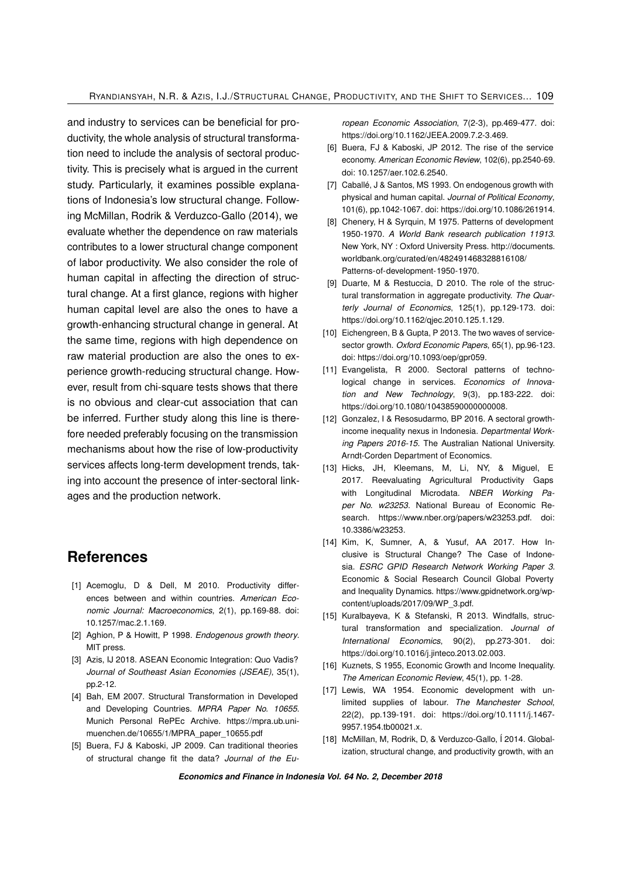and industry to services can be beneficial for productivity, the whole analysis of structural transformation need to include the analysis of sectoral productivity. This is precisely what is argued in the current study. Particularly, it examines possible explanations of Indonesia's low structural change. Following McMillan, Rodrik & Verduzco-Gallo (2014), we evaluate whether the dependence on raw materials contributes to a lower structural change component of labor productivity. We also consider the role of human capital in affecting the direction of structural change. At a first glance, regions with higher human capital level are also the ones to have a growth-enhancing structural change in general. At the same time, regions with high dependence on raw material production are also the ones to experience growth-reducing structural change. However, result from chi-square tests shows that there is no obvious and clear-cut association that can be inferred. Further study along this line is therefore needed preferably focusing on the transmission mechanisms about how the rise of low-productivity services affects long-term development trends, taking into account the presence of inter-sectoral linkages and the production network.

### **References**

- [1] Acemoglu, D & Dell, M 2010. Productivity differences between and within countries. *American Economic Journal: Macroeconomics*, 2(1), pp.169-88. doi: 10.1257/mac.2.1.169.
- [2] Aghion, P & Howitt, P 1998. *Endogenous growth theory*. MIT press.
- [3] Azis, IJ 2018. ASEAN Economic Integration: Quo Vadis? *Journal of Southeast Asian Economies (JSEAE)*, 35(1), pp.2-12.
- [4] Bah, EM 2007. Structural Transformation in Developed and Developing Countries. *MPRA Paper No. 10655*. Munich Personal RePEc Archive. https://mpra.ub.unimuenchen.de/10655/1/MPRA\_paper\_10655.pdf
- [5] Buera, FJ & Kaboski, JP 2009. Can traditional theories of structural change fit the data? *Journal of the Eu-*

*ropean Economic Association*, 7(2-3), pp.469-477. doi: https://doi.org/10.1162/JEEA.2009.7.2-3.469.

- [6] Buera, FJ & Kaboski, JP 2012. The rise of the service economy. *American Economic Review*, 102(6), pp.2540-69. doi: 10.1257/aer.102.6.2540.
- [7] Caballé, J & Santos, MS 1993. On endogenous growth with physical and human capital. *Journal of Political Economy*, 101(6), pp.1042-1067. doi: https://doi.org/10.1086/261914.
- [8] Chenery, H & Syrquin, M 1975. Patterns of development 1950-1970. *A World Bank research publication 11913*. New York, NY : Oxford University Press. [http://documents.](http://documents.worldbank.org/curated/en/482491468328816108/Patterns-of-development-1950-1970) [worldbank.org/curated/en/482491468328816108/](http://documents.worldbank.org/curated/en/482491468328816108/Patterns-of-development-1950-1970) [Patterns-of-development-1950-1970.](http://documents.worldbank.org/curated/en/482491468328816108/Patterns-of-development-1950-1970)
- [9] Duarte, M & Restuccia, D 2010. The role of the structural transformation in aggregate productivity. *The Quarterly Journal of Economics*, 125(1), pp.129-173. doi: https://doi.org/10.1162/qjec.2010.125.1.129.
- [10] Eichengreen, B & Gupta, P 2013. The two waves of servicesector growth. *Oxford Economic Papers*, 65(1), pp.96-123. doi: https://doi.org/10.1093/oep/gpr059.
- [11] Evangelista, R 2000. Sectoral patterns of technological change in services. *Economics of Innovation and New Technology*, 9(3), pp.183-222. doi: https://doi.org/10.1080/10438590000000008.
- [12] Gonzalez, I & Resosudarmo, BP 2016. A sectoral growthincome inequality nexus in Indonesia. *Departmental Working Papers 2016-15*. The Australian National University. Arndt-Corden Department of Economics.
- [13] Hicks, JH, Kleemans, M, Li, NY, & Miguel, E 2017. Reevaluating Agricultural Productivity Gaps with Longitudinal Microdata. *NBER Working Paper No. w23253*. National Bureau of Economic Research. https://www.nber.org/papers/w23253.pdf. doi: 10.3386/w23253.
- [14] Kim, K, Sumner, A, & Yusuf, AA 2017. How Inclusive is Structural Change? The Case of Indonesia. *ESRC GPID Research Network Working Paper 3*. Economic & Social Research Council Global Poverty and Inequality Dynamics. https://www.gpidnetwork.org/wpcontent/uploads/2017/09/WP\_3.pdf.
- [15] Kuralbayeva, K & Stefanski, R 2013. Windfalls, structural transformation and specialization. *Journal of International Economics*, 90(2), pp.273-301. doi: https://doi.org/10.1016/j.jinteco.2013.02.003.
- [16] Kuznets, S 1955, Economic Growth and Income Inequality. *The American Economic Review*, 45(1), pp. 1-28.
- [17] Lewis, WA 1954. Economic development with unlimited supplies of labour. *The Manchester School*, 22(2), pp.139-191. doi: https://doi.org/10.1111/j.1467- 9957.1954.tb00021.x.
- [18] McMillan, M, Rodrik, D, & Verduzco-Gallo, Í 2014. Globalization, structural change, and productivity growth, with an